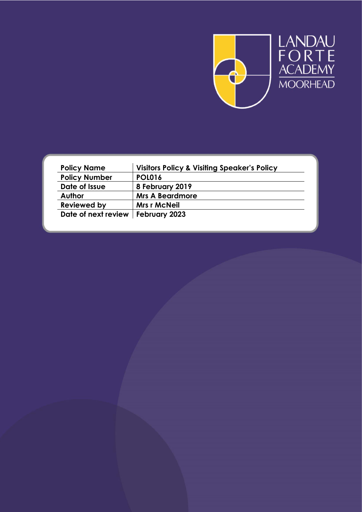

| <b>Policy Name</b>                  | <b>Visitors Policy &amp; Visiting Speaker's Policy</b> |
|-------------------------------------|--------------------------------------------------------|
| <b>Policy Number</b>                | <b>POL016</b>                                          |
| Date of Issue                       | 8 February 2019                                        |
| <b>Author</b>                       | <b>Mrs A Beardmore</b>                                 |
| <b>Reviewed by</b>                  | <b>Mrs r McNeil</b>                                    |
| Date of next review   February 2023 |                                                        |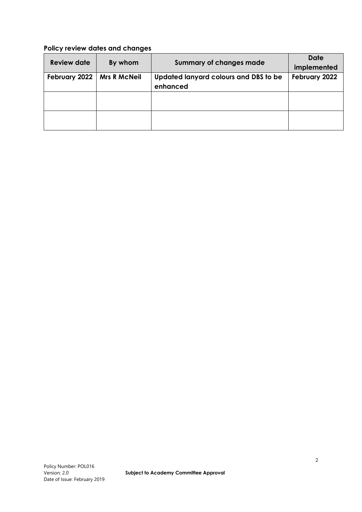# **Policy review dates and changes**

| <b>Review date</b> | By whom             | <b>Summary of changes made</b>        | <b>Date</b><br>implemented |  |
|--------------------|---------------------|---------------------------------------|----------------------------|--|
| February 2022      | <b>Mrs R McNeil</b> | Updated lanyard colours and DBS to be | February 2022              |  |
|                    |                     | enhanced                              |                            |  |
|                    |                     |                                       |                            |  |
|                    |                     |                                       |                            |  |
|                    |                     |                                       |                            |  |
|                    |                     |                                       |                            |  |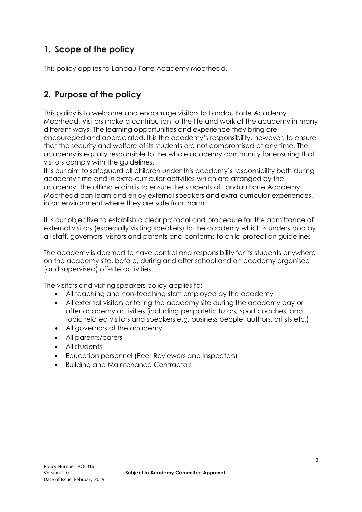# **1. Scope of the policy**

This policy applies to Landau Forte Academy Moorhead.

# **2. Purpose of the policy**

This policy is to welcome and encourage visitors to Landau Forte Academy Moorhead. Visitors make a contribution to the life and work of the academy in many different ways. The learning opportunities and experience they bring are encouraged and appreciated. It is the academy's responsibility, however, to ensure that the security and welfare of its students are not compromised at any time. The academy is equally responsible to the whole academy community for ensuring that visitors comply with the guidelines.

It is our aim to safeguard all children under this academy's responsibility both during academy time and in extra-curricular activities which are arranged by the academy. The ultimate aim is to ensure the students of Landau Forte Academy Moorhead can learn and enjoy external speakers and extra-curricular experiences, in an environment where they are safe from harm.

It is our objective to establish a clear protocol and procedure for the admittance of external visitors (especially visiting speakers) to the academy which is understood by all staff, governors, visitors and parents and conforms to child protection guidelines.

The academy is deemed to have control and responsibility for its students anywhere on the academy site, before, during and after school and on academy organised (and supervised) off-site activities.

The visitors and visiting speakers policy applies to:

- All teaching and non-teaching staff employed by the academy
- All external visitors entering the academy site during the academy day or after academy activities (including peripatetic tutors, sport coaches, and topic related visitors and speakers e.g. business people, authors, artists etc.)
- All governors of the academy
- All parents/carers
- All students
- Education personnel (Peer Reviewers and Inspectors)
- Building and Maintenance Contractors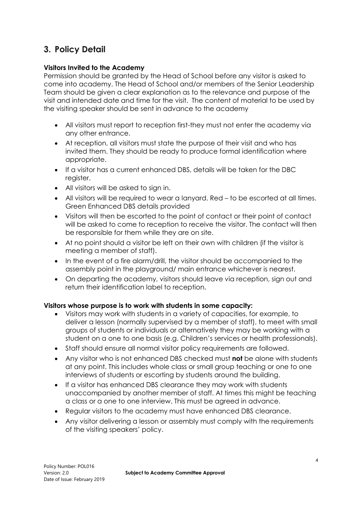# **3. Policy Detail**

### **Visitors Invited to the Academy**

Permission should be granted by the Head of School before any visitor is asked to come into academy. The Head of School and/or members of the Senior Leadership Team should be given a clear explanation as to the relevance and purpose of the visit and intended date and time for the visit. The content of material to be used by the visiting speaker should be sent in advance to the academy

- All visitors must report to reception first-they must not enter the academy via any other entrance.
- At reception, all visitors must state the purpose of their visit and who has invited them. They should be ready to produce formal identification where appropriate.
- If a visitor has a current enhanced DBS, details will be taken for the DBC register.
- All visitors will be asked to sign in.
- All visitors will be required to wear a lanyard. Red to be escorted at all times. Green Enhanced DBS details provided
- Visitors will then be escorted to the point of contact or their point of contact will be asked to come to reception to receive the visitor. The contact will then be responsible for them while they are on site.
- At no point should a visitor be left on their own with children (if the visitor is meeting a member of staff).
- In the event of a fire alarm/drill, the visitor should be accompanied to the assembly point in the playground/ main entrance whichever is nearest.
- On departing the academy, visitors should leave via reception, sign out and return their identification label to reception.

## **Visitors whose purpose is to work with students in some capacity:**

- Visitors may work with students in a variety of capacities, for example, to deliver a lesson (normally supervised by a member of staff), to meet with small groups of students or individuals or alternatively they may be working with a student on a one to one basis (e.g. Children's services or health professionals).
- Staff should ensure all normal visitor policy requirements are followed.
- Any visitor who is not enhanced DBS checked must **not** be alone with students at any point. This includes whole class or small group teaching or one to one interviews of students or escorting by students around the building.
- If a visitor has enhanced DBS clearance they may work with students unaccompanied by another member of staff. At times this might be teaching a class or a one to one interview. This must be agreed in advance.
- Regular visitors to the academy must have enhanced DBS clearance.
- Any visitor delivering a lesson or assembly must comply with the requirements of the visiting speakers' policy.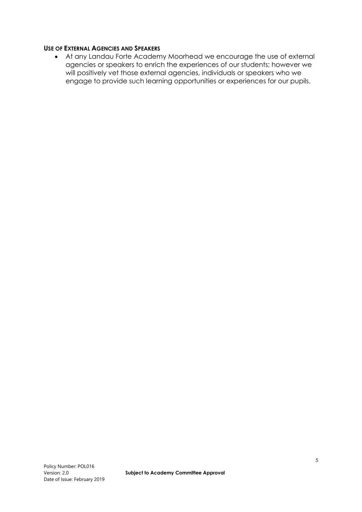#### **USE OF EXTERNAL AGENCIES AND SPEAKERS**

 At any Landau Forte Academy Moorhead we encourage the use of external agencies or speakers to enrich the experiences of our students; however we will positively vet those external agencies, individuals or speakers who we engage to provide such learning opportunities or experiences for our pupils.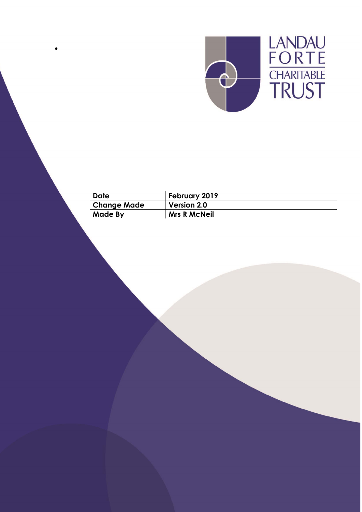

| Date               | February 2019       |
|--------------------|---------------------|
| <b>Change Made</b> | <b>Version 2.0</b>  |
| Made By            | <b>Mrs R McNeil</b> |

 $\bullet$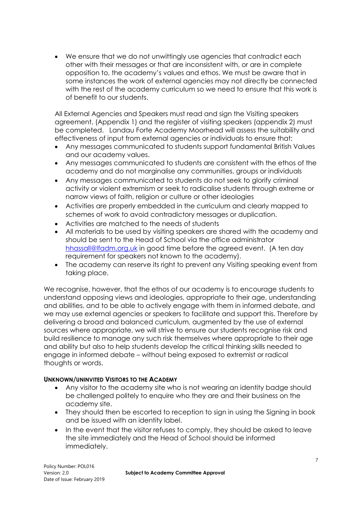We ensure that we do not unwittingly use agencies that contradict each other with their messages or that are inconsistent with, or are in complete opposition to, the academy's values and ethos. We must be aware that in some instances the work of external agencies may not directly be connected with the rest of the academy curriculum so we need to ensure that this work is of benefit to our students.

All External Agencies and Speakers must read and sign the Visiting speakers agreement, (Appendix 1) and the register of visiting speakers (appendix 2) must be completed. Landau Forte Academy Moorhead will assess the suitability and effectiveness of input from external agencies or individuals to ensure that:

- Any messages communicated to students support fundamental British Values and our academy values.
- Any messages communicated to students are consistent with the ethos of the academy and do not marginalise any communities, groups or individuals
- Any messages communicated to students do not seek to glorify criminal activity or violent extremism or seek to radicalise students through extreme or narrow views of faith, religion or culture or other ideologies
- Activities are properly embedded in the curriculum and clearly mapped to schemes of work to avoid contradictory messages or duplication.
- Activities are matched to the needs of students
- All materials to be used by visiting speakers are shared with the academy and should be sent to the Head of School via the office administrator [hhassall@lfadm.org.uk](mailto:hhassall@lfadm.org.uk) in good time before the agreed event. (A ten day requirement for speakers not known to the academy).
- The academy can reserve its right to prevent any Visiting speaking event from taking place.

We recognise, however, that the ethos of our academy is to encourage students to understand opposing views and ideologies, appropriate to their age, understanding and abilities, and to be able to actively engage with them in informed debate, and we may use external agencies or speakers to facilitate and support this. Therefore by delivering a broad and balanced curriculum, augmented by the use of external sources where appropriate, we will strive to ensure our students recognise risk and build resilience to manage any such risk themselves where appropriate to their age and ability but also to help students develop the critical thinking skills needed to engage in informed debate – without being exposed to extremist or radical thoughts or words.

#### **UNKNOWN/UNINVITED VISITORS TO THE ACADEMY**

- Any visitor to the academy site who is not wearing an identity badge should be challenged politely to enquire who they are and their business on the academy site.
- They should then be escorted to reception to sign in using the Signing in book and be issued with an identity label.
- In the event that the visitor refuses to comply, they should be asked to leave the site immediately and the Head of School should be informed immediately.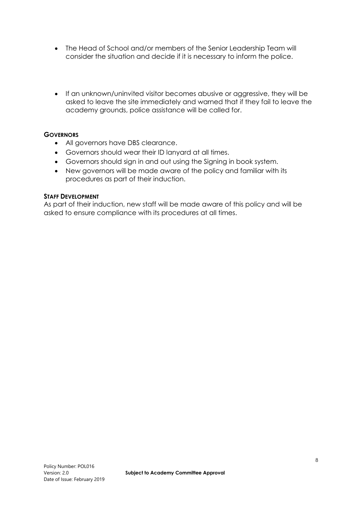- The Head of School and/or members of the Senior Leadership Team will consider the situation and decide if it is necessary to inform the police.
- If an unknown/uninvited visitor becomes abusive or aggressive, they will be asked to leave the site immediately and warned that if they fail to leave the academy grounds, police assistance will be called for.

### **GOVERNORS**

- All governors have DBS clearance.
- Governors should wear their ID lanyard at all times.
- Governors should sign in and out using the Signing in book system.
- New governors will be made aware of the policy and familiar with its procedures as part of their induction.

#### **STAFF DEVELOPMENT**

As part of their induction, new staff will be made aware of this policy and will be asked to ensure compliance with its procedures at all times.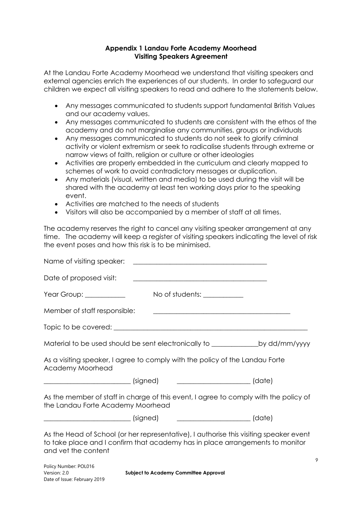### **Appendix 1 Landau Forte Academy Moorhead Visiting Speakers Agreement**

At the Landau Forte Academy Moorhead we understand that visiting speakers and external agencies enrich the experiences of our students. In order to safeguard our children we expect all visiting speakers to read and adhere to the statements below.

- Any messages communicated to students support fundamental British Values and our academy values.
- Any messages communicated to students are consistent with the ethos of the academy and do not marginalise any communities, groups or individuals
- Any messages communicated to students do not seek to glorify criminal activity or violent extremism or seek to radicalise students through extreme or narrow views of faith, religion or culture or other ideologies
- Activities are properly embedded in the curriculum and clearly mapped to schemes of work to avoid contradictory messages or duplication.
- Any materials (visual, written and media) to be used during the visit will be shared with the academy at least ten working days prior to the speaking event.
- Activities are matched to the needs of students
- Visitors will also be accompanied by a member of staff at all times.

The academy reserves the right to cancel any visiting speaker arrangement at any time. The academy will keep a register of visiting speakers indicating the level of risk the event poses and how this risk is to be minimised.

| Name of visiting speaker:                                                                                                                                                                      | <u> 1980 - Jan Stein, amerikansk politiker (d. 1980)</u>                         |  |
|------------------------------------------------------------------------------------------------------------------------------------------------------------------------------------------------|----------------------------------------------------------------------------------|--|
| Date of proposed visit:                                                                                                                                                                        |                                                                                  |  |
| Year Group: ____________                                                                                                                                                                       | No of students: ___________                                                      |  |
| Member of staff responsible:                                                                                                                                                                   | <u> 2000 - Januar Alexander (h. 1888).</u><br>2001 - Johann Alexander (h. 1889). |  |
|                                                                                                                                                                                                |                                                                                  |  |
| Material to be used should be sent electronically to _________________by dd/mm/yyyy                                                                                                            |                                                                                  |  |
| As a visiting speaker, I agree to comply with the policy of the Landau Forte<br>Academy Moorhead                                                                                               |                                                                                  |  |
|                                                                                                                                                                                                |                                                                                  |  |
| As the member of staff in charge of this event, I agree to comply with the policy of<br>the Landau Forte Academy Moorhead                                                                      |                                                                                  |  |
|                                                                                                                                                                                                |                                                                                  |  |
| As the Head of School (or her representative), I authorise this visiting speaker event<br>to take place and I confirm that academy has in place arrangements to monitor<br>and vet the content |                                                                                  |  |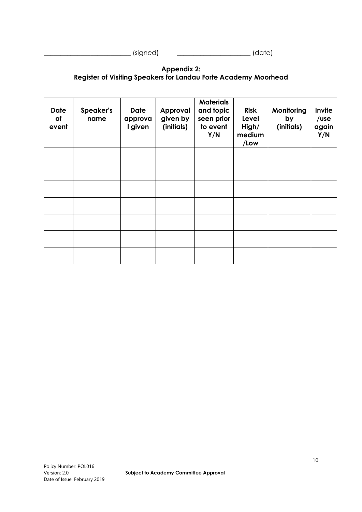\_\_\_\_\_\_\_\_\_\_\_\_\_\_\_\_\_\_\_\_\_\_\_\_\_\_ (signed) \_\_\_\_\_\_\_\_\_\_\_\_\_\_\_\_\_\_\_\_\_\_ (date)

### **Appendix 2: Register of Visiting Speakers for Landau Forte Academy Moorhead**

| <b>Date</b><br>of<br>event | Speaker's<br>name | <b>Date</b><br>approva<br>I given | Approval<br>given by<br>(initials) | <b>Materials</b><br>and topic<br>seen prior<br>to event<br>Y/N | <b>Risk</b><br>Level<br>High/<br>medium<br>/Low | Monitoring<br>by<br>(initials) | Invite<br>/use<br>again<br>Y/N |
|----------------------------|-------------------|-----------------------------------|------------------------------------|----------------------------------------------------------------|-------------------------------------------------|--------------------------------|--------------------------------|
|                            |                   |                                   |                                    |                                                                |                                                 |                                |                                |
|                            |                   |                                   |                                    |                                                                |                                                 |                                |                                |
|                            |                   |                                   |                                    |                                                                |                                                 |                                |                                |
|                            |                   |                                   |                                    |                                                                |                                                 |                                |                                |
|                            |                   |                                   |                                    |                                                                |                                                 |                                |                                |
|                            |                   |                                   |                                    |                                                                |                                                 |                                |                                |
|                            |                   |                                   |                                    |                                                                |                                                 |                                |                                |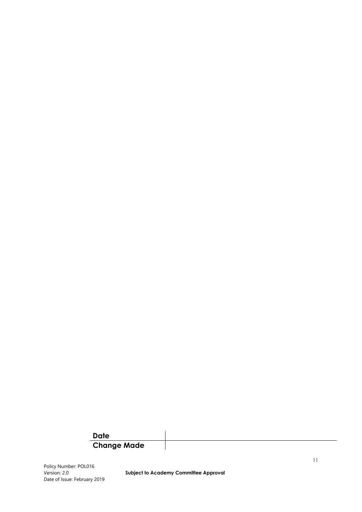## **Date Change Made**

Policy Number: POL016 Date of Issue: February 2019